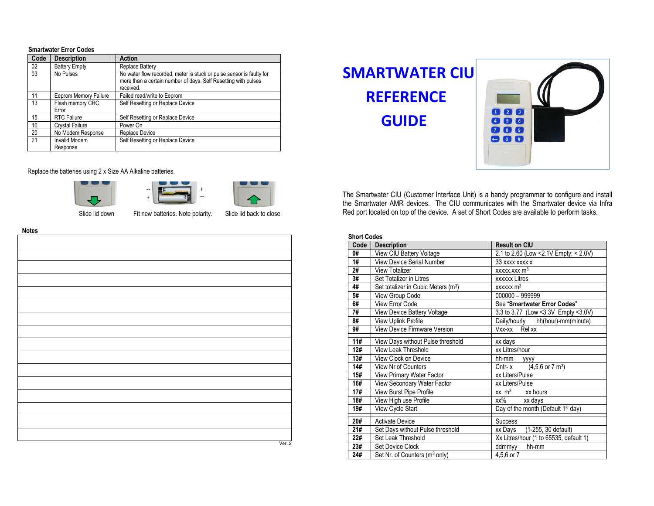## **Smartwater Error Codes**

| Code | <b>Description</b>               | <b>Action</b>                                                                                                                                       |  |
|------|----------------------------------|-----------------------------------------------------------------------------------------------------------------------------------------------------|--|
| 02   | <b>Battery Empty</b>             | Replace Battery                                                                                                                                     |  |
| 03   | No Pulses                        | No water flow recorded, meter is stuck or pulse sensor is faulty for<br>more than a certain number of days. Self Resetting with pulses<br>received. |  |
| 11   | Eeprom Memory Failure            | Failed read/write to Eeprom                                                                                                                         |  |
| 13   | Flash memory CRC<br>Error        | Self Resetting or Replace Device                                                                                                                    |  |
| 15   | <b>RTC Failure</b>               | Self Resetting or Replace Device                                                                                                                    |  |
| 16   | <b>Crystal Failure</b>           | Power On                                                                                                                                            |  |
| 20   | No Modem Response                | Replace Device                                                                                                                                      |  |
| 21   | <b>Invalid Modem</b><br>Response | Self Resetting or Replace Device                                                                                                                    |  |

# Replace the batteries using 2 x Size AA Alkaline batteries.







Slide lid down Fit new batteries. Note polarity. Slide lid back to close

**Notes** 

| <b>IANIC<sub>2</sub></b> |        |
|--------------------------|--------|
|                          |        |
|                          |        |
|                          |        |
|                          |        |
|                          |        |
|                          |        |
|                          |        |
|                          |        |
|                          |        |
|                          |        |
|                          |        |
|                          |        |
|                          |        |
|                          |        |
|                          |        |
|                          |        |
|                          |        |
|                          |        |
|                          |        |
|                          |        |
|                          |        |
|                          |        |
|                          |        |
|                          |        |
|                          |        |
|                          |        |
|                          |        |
|                          |        |
|                          |        |
|                          |        |
|                          |        |
|                          |        |
|                          |        |
|                          |        |
|                          |        |
|                          |        |
|                          |        |
|                          |        |
|                          |        |
|                          |        |
|                          |        |
|                          | Ver. 2 |
|                          |        |

| ttery<br>w recorded, meter is stuck or pulse sensor is faulty for<br>certain number of days. Self Resetting with pulses<br>write to Eeprom<br>ng or Replace Device<br>ng or Replace Device<br>vice<br>ng or Replace Device | <b>SMARTWATER CIU</b><br><b>REFERENCE</b><br><b>GUIDE</b> | $\begin{array}{ c c c c }\n\hline\n1 & 2 & 3 \\ \hline\n\end{array}$<br>$\begin{pmatrix} 8 \\ 9 \end{pmatrix}$<br>$\left( -\right)$ $\left( 0\right)$ $\left( \frac{1}{2} \right)$ |  |
|----------------------------------------------------------------------------------------------------------------------------------------------------------------------------------------------------------------------------|-----------------------------------------------------------|------------------------------------------------------------------------------------------------------------------------------------------------------------------------------------|--|
| e batteries.                                                                                                                                                                                                               |                                                           | The Smartwater CIU (Customer Interface Unit) is a handy programmer to configure and install                                                                                        |  |

the Smartwater AMR devices. The CIU communicates with the Smartwater device via Infra Red port located on top of the device. A set of Short Codes are available to perform tasks.

### **Short Codes**

| Code | <b>Description</b>                                                       | <b>Result on CIU</b>                           |  |  |
|------|--------------------------------------------------------------------------|------------------------------------------------|--|--|
| 0#   | View CIU Battery Voltage                                                 | 2.1 to 2.60 (Low < 2.1V Empty: < 2.0V)         |  |  |
| 1#   | View Device Serial Number                                                | 33 xxxx xxxx x                                 |  |  |
| 2#   | <b>View Totalizer</b>                                                    | $xxxxxxxx$ m <sup>3</sup>                      |  |  |
| 3#   | Set Totalizer in Litres                                                  | <b>xxxxxx</b> Litres                           |  |  |
| 4#   | Set totalizer in Cubic Meters (m <sup>3</sup> )                          | $xxxxxx$ m <sup>3</sup>                        |  |  |
| 5#   | View Group Code                                                          | 000000 - 999999                                |  |  |
| 6#   | View Error Code                                                          | See "Smartwater Error Codes"                   |  |  |
| 7#   | View Device Battery Voltage                                              | 3.3 to 3.77 (Low < 3.3 V Empty < 3.0 V)        |  |  |
| 8#   | View Uplink Profile                                                      | Daily/hourly hh(hour)-mm(minute)               |  |  |
| 9#   | <b>View Device Firmware Version</b>                                      | Vxx-xx Relxx                                   |  |  |
|      |                                                                          |                                                |  |  |
| 11#  | View Days without Pulse threshold                                        | xx days                                        |  |  |
| 12#  | View Leak Threshold                                                      | xx Litres/hour                                 |  |  |
|      | 13#<br>View Clock on Device<br>hh-mm<br><b>YYYY</b>                      |                                                |  |  |
| 14#  | View Nr of Counters<br>$(4,5,6 \text{ or } 7 \text{ m}^3)$<br>$Cntr - x$ |                                                |  |  |
| 15#  | View Primary Water Factor                                                | xx Liters/Pulse                                |  |  |
| 16#  | View Secondary Water Factor                                              | xx Liters/Pulse                                |  |  |
| 17#  | View Burst Pipe Profile                                                  | $xx \, m^3$ xx hours                           |  |  |
| 18#  | View High use Profile                                                    | xx%<br>xx days                                 |  |  |
| 19#  | View Cycle Start                                                         | Day of the month (Default 1 <sup>st</sup> day) |  |  |
| 20#  | <b>Activate Device</b>                                                   | Success                                        |  |  |
| 21#  | (1-255, 30 default)<br>Set Days without Pulse threshold<br>xx Days       |                                                |  |  |
| 22#  | Set Leak Threshold<br>Xx Litres/hour (1 to 65535, default 1)             |                                                |  |  |
| 23#  | Set Device Clock                                                         | hh-mm<br>ddmmyy                                |  |  |
| 24#  | Set Nr. of Counters (m <sup>3</sup> only)<br>4,5,6 or 7                  |                                                |  |  |